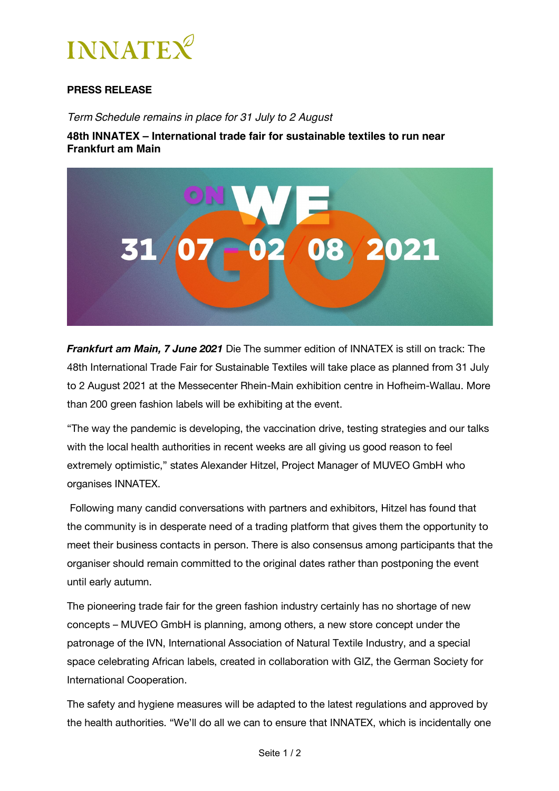

## **PRESS RELEASE**

*Term Schedule remains in place for 31 July to 2 August* 

**48th INNATEX – International trade fair for sustainable textiles to run near Frankfurt am Main** 



*Frankfurt am Main, 7 June 2021* Die The summer edition of INNATEX is still on track: The 48th International Trade Fair for Sustainable Textiles will take place as planned from 31 July to 2 August 2021 at the Messecenter Rhein-Main exhibition centre in Hofheim-Wallau. More than 200 green fashion labels will be exhibiting at the event.

"The way the pandemic is developing, the vaccination drive, testing strategies and our talks with the local health authorities in recent weeks are all giving us good reason to feel extremely optimistic," states Alexander Hitzel, Project Manager of MUVEO GmbH who organises INNATEX.

Following many candid conversations with partners and exhibitors, Hitzel has found that the community is in desperate need of a trading platform that gives them the opportunity to meet their business contacts in person. There is also consensus among participants that the organiser should remain committed to the original dates rather than postponing the event until early autumn.

The pioneering trade fair for the green fashion industry certainly has no shortage of new concepts – MUVEO GmbH is planning, among others, a new store concept under the patronage of the IVN, International Association of Natural Textile Industry, and a special space celebrating African labels, created in collaboration with GIZ, the German Society for International Cooperation.

The safety and hygiene measures will be adapted to the latest regulations and approved by the health authorities. "We'll do all we can to ensure that INNATEX, which is incidentally one